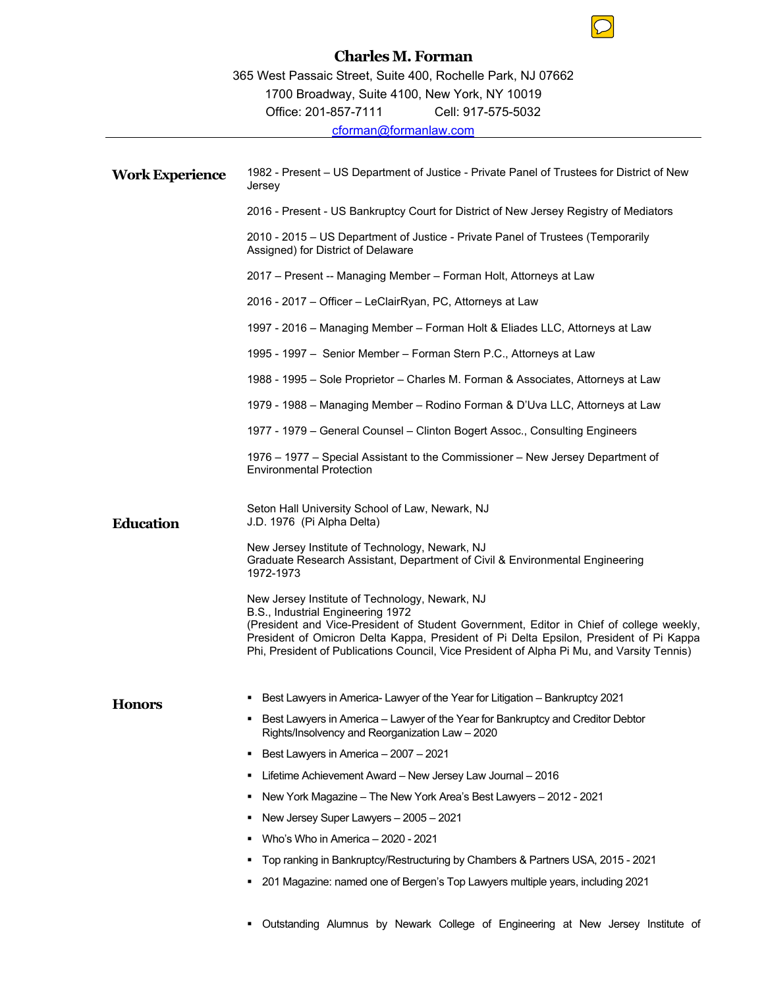## **Charles M. Forman**

**Work Experience** 1982 - Present – US Department of Justice - Private Panel of Trustees for District of New Jersey 2016 - Present - US Bankruptcy Court for District of New Jersey Registry of Mediators 2010 - 2015 – US Department of Justice - Private Panel of Trustees (Temporarily Assigned) for District of Delaware 2017 – Present -- Managing Member – Forman Holt, Attorneys at Law 2016 - 2017 – Officer – LeClairRyan, PC, Attorneys at Law 1997 - 2016 – Managing Member – Forman Holt & Eliades LLC, Attorneys at Law 1995 - 1997 – Senior Member – Forman Stern P.C., Attorneys at Law 1988 - 1995 – Sole Proprietor – Charles M. Forman & Associates, Attorneys at Law 1979 - 1988 – Managing Member – Rodino Forman & D'Uva LLC, Attorneys at Law 1977 - 1979 – General Counsel – Clinton Bogert Assoc., Consulting Engineers 1976 – 1977 – Special Assistant to the Commissioner – New Jersey Department of Environmental Protection **Education**  Seton Hall University School of Law, Newark, NJ J.D. 1976 (Pi Alpha Delta) New Jersey Institute of Technology, Newark, NJ Graduate Research Assistant, Department of Civil & Environmental Engineering 1972-1973 New Jersey Institute of Technology, Newark, NJ B.S., Industrial Engineering 1972 (President and Vice-President of Student Government, Editor in Chief of college weekly, President of Omicron Delta Kappa, President of Pi Delta Epsilon, President of Pi Kappa Phi, President of Publications Council, Vice President of Alpha Pi Mu, and Varsity Tennis) **Honors** Best Lawyers in America- Lawyer of the Year for Litigation – Bankruptcy 2021 **Best Lawyers in America – Lawyer of the Year for Bankruptcy and Creditor Debtor** Rights/Insolvency and Reorganization Law – 2020 Best Lawyers in America - 2007 - 2021 Lifetime Achievement Award – New Jersey Law Journal – 2016 New York Magazine – The New York Area's Best Lawyers – 2012 - 2021 New Jersey Super Lawyers – 2005 – 2021 Who's Who in America – 2020 - 2021 Top ranking in Bankruptcy/Restructuring by Chambers & Partners USA, 2015 - 2021 201 Magazine: named one of Bergen's Top Lawyers multiple years, including 2021

Outstanding Alumnus by Newark College of Engineering at New Jersey Institute of